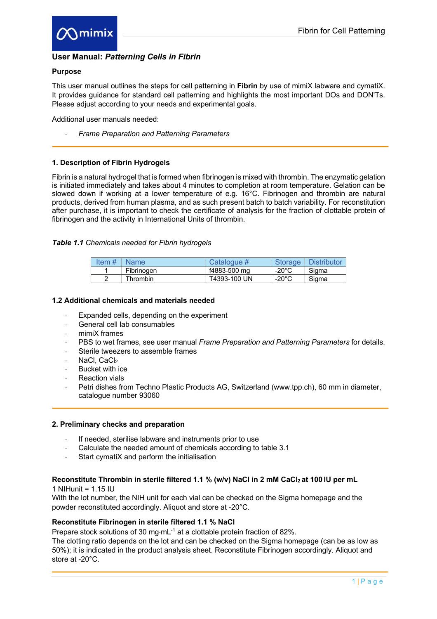

# **User Manual:** *Patterning Cells in Fibrin*

## **Purpose**

This user manual outlines the steps for cell patterning in **Fibrin** by use of mimiX labware and cymatiX. It provides guidance for standard cell patterning and highlights the most important DOs and DON'Ts. Please adjust according to your needs and experimental goals.

Additional user manuals needed:

× *Frame Preparation and Patterning Parameters*

### **1. Description of Fibrin Hydrogels**

Fibrin is a natural hydrogel that is formed when fibrinogen is mixed with thrombin. The enzymatic gelation is initiated immediately and takes about 4 minutes to completion at room temperature. Gelation can be slowed down if working at a lower temperature of e.g. 16°C. Fibrinogen and thrombin are natural products, derived from human plasma, and as such present batch to batch variability. For reconstitution after purchase, it is important to check the certificate of analysis for the fraction of clottable protein of fibrinogen and the activity in International Units of thrombin.

### *Table 1.1 Chemicals needed for Fibrin hydrogels*

| Item $#$ | <b>Name</b> | Catalogue #  | <b>Storage</b>  | Distributor |
|----------|-------------|--------------|-----------------|-------------|
|          | Fibrinogen  | f4883-500 mg | $-20^{\circ}$ C | Siama       |
|          | Thrombin    | T4393-100 UN | $-20^{\circ}$ C | Siama       |

#### **1.2 Additional chemicals and materials needed**

- Expanded cells, depending on the experiment
- General cell lab consumables
- mimiX frames
- × PBS to wet frames, see user manual *Frame Preparation and Patterning Parameters* for details.
- Sterile tweezers to assemble frames
- NaCl, CaCl<sub>2</sub>
- Bucket with ice
- **Reaction vials**
- Petri dishes from Techno Plastic Products AG, Switzerland (www.tpp.ch), 60 mm in diameter, catalogue number 93060

#### **2. Preliminary checks and preparation**

- If needed, sterilise labware and instruments prior to use
- Calculate the needed amount of chemicals according to table 3.1
- Start cymatiX and perform the initialisation

## Reconstitute Thrombin in sterile filtered 1.1 % (w/v) NaCl in 2 mM CaCl<sub>2</sub> at 100 IU per mL

 $1$  NIHunit =  $1.15$  IU

With the lot number, the NIH unit for each vial can be checked on the Sigma homepage and the powder reconstituted accordingly. Aliquot and store at -20°C.

## **Reconstitute Fibrinogen in sterile filtered 1.1 % NaCl**

Prepare stock solutions of 30 mg·mL $<sup>-1</sup>$  at a clottable protein fraction of 82%.</sup>

The clotting ratio depends on the lot and can be checked on the Sigma homepage (can be as low as 50%); it is indicated in the product analysis sheet. Reconstitute Fibrinogen accordingly. Aliquot and store at -20°C.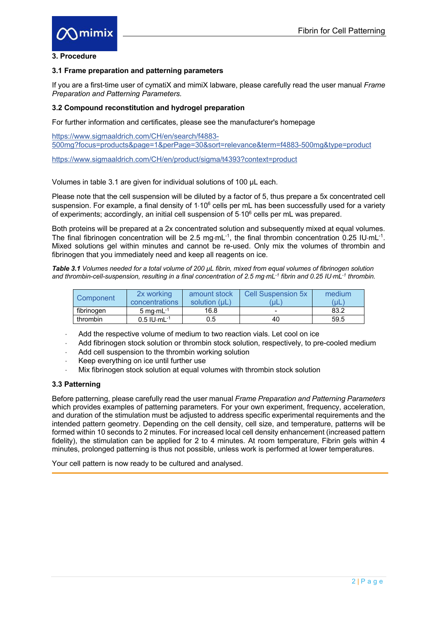

### **3. Procedure**

#### **3.1 Frame preparation and patterning parameters**

If you are a first-time user of cymatiX and mimiX labware, please carefully read the user manual *Frame Preparation and Patterning Parameters.* 

## **3.2 Compound reconstitution and hydrogel preparation**

For further information and certificates, please see the manufacturer's homepage

https://www.sigmaaldrich.com/CH/en/search/f4883- 500mg?focus=products&page=1&perPage=30&sort=relevance&term=f4883-500mg&type=product

https://www.sigmaaldrich.com/CH/en/product/sigma/t4393?context=product

Volumes in table 3.1 are given for individual solutions of 100 µL each.

Please note that the cell suspension will be diluted by a factor of 5, thus prepare a 5x concentrated cell suspension. For example, a final density of 1.10<sup>6</sup> cells per mL has been successfully used for a variety of experiments; accordingly, an initial cell suspension of  $5.10^6$  cells per mL was prepared.

Both proteins will be prepared at a 2x concentrated solution and subsequently mixed at equal volumes. The final fibrinogen concentration will be 2.5 mg·mL<sup>-1</sup>, the final thrombin concentration 0.25 IU·mL<sup>-1</sup>. Mixed solutions gel within minutes and cannot be re-used. Only mix the volumes of thrombin and fibrinogen that you immediately need and keep all reagents on ice.

*Table 3.1 Volumes needed for a total volume of 200 µL fibrin, mixed from equal volumes of fibrinogen solution and thrombin-cell-suspension, resulting in a final concentration of 2.5 mg*×*mL-1 fibrin and 0.25 IU*×*mL-1 thrombin.*

| Component  | 2x working<br>concentrations | amount stock<br>solution (uL) | <b>Cell Suspension 5x</b><br>uL | medium<br>uL |
|------------|------------------------------|-------------------------------|---------------------------------|--------------|
| fibrinogen | 5 mg $\cdot$ mL $^{-1}$      | 16.8                          |                                 | 83.2         |
| thrombin   | $0.5$ IU $\cdot$ mL $^{-1}$  | 0.5                           | 40                              | 59.5         |

- Add the respective volume of medium to two reaction vials. Let cool on ice
- Add fibrinogen stock solution or thrombin stock solution, respectively, to pre-cooled medium
- Add cell suspension to the thrombin working solution
- $\cdot$  Keep everything on ice until further use
- Mix fibrinogen stock solution at equal volumes with thrombin stock solution

# **3.3 Patterning**

Before patterning, please carefully read the user manual *Frame Preparation and Patterning Parameters* which provides examples of patterning parameters*.* For your own experiment, frequency, acceleration, and duration of the stimulation must be adjusted to address specific experimental requirements and the intended pattern geometry. Depending on the cell density, cell size, and temperature, patterns will be formed within 10 seconds to 2 minutes. For increased local cell density enhancement (increased pattern fidelity), the stimulation can be applied for 2 to 4 minutes. At room temperature, Fibrin gels within 4 minutes, prolonged patterning is thus not possible, unless work is performed at lower temperatures.

Your cell pattern is now ready to be cultured and analysed.